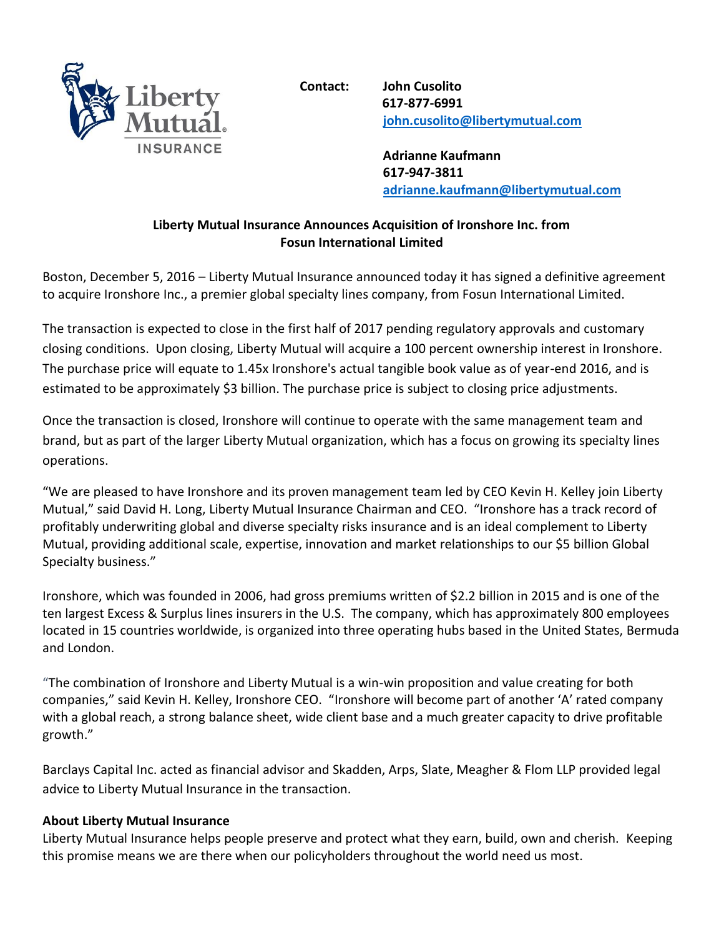

**Contact: John Cusolito 617-877-6991 [john.cusolito@libertymutual.com](mailto:john.cusolito@libertymutual.com)**

> **Adrianne Kaufmann 617-947-3811 [adrianne.kaufmann@libertymutual.com](mailto:Adrianne.kaufmann@libertymutual.com)**

## **Liberty Mutual Insurance Announces Acquisition of Ironshore Inc. from Fosun International Limited**

Boston, December 5, 2016 – Liberty Mutual Insurance announced today it has signed a definitive agreement to acquire Ironshore Inc., a premier global specialty lines company, from Fosun International Limited.

The transaction is expected to close in the first half of 2017 pending regulatory approvals and customary closing conditions. Upon closing, Liberty Mutual will acquire a 100 percent ownership interest in Ironshore. The purchase price will equate to 1.45x Ironshore's actual tangible book value as of year-end 2016, and is estimated to be approximately \$3 billion. The purchase price is subject to closing price adjustments.

Once the transaction is closed, Ironshore will continue to operate with the same management team and brand, but as part of the larger Liberty Mutual organization, which has a focus on growing its specialty lines operations.

"We are pleased to have Ironshore and its proven management team led by CEO Kevin H. Kelley join Liberty Mutual," said David H. Long, Liberty Mutual Insurance Chairman and CEO. "Ironshore has a track record of profitably underwriting global and diverse specialty risks insurance and is an ideal complement to Liberty Mutual, providing additional scale, expertise, innovation and market relationships to our \$5 billion Global Specialty business."

Ironshore, which was founded in 2006, had gross premiums written of \$2.2 billion in 2015 and is one of the ten largest Excess & Surplus lines insurers in the U.S. The company, which has approximately 800 employees located in 15 countries worldwide, is organized into three operating hubs based in the United States, Bermuda and London.

"The combination of Ironshore and Liberty Mutual is a win-win proposition and value creating for both companies," said Kevin H. Kelley, Ironshore CEO. "Ironshore will become part of another 'A' rated company with a global reach, a strong balance sheet, wide client base and a much greater capacity to drive profitable growth."

Barclays Capital Inc. acted as financial advisor and Skadden, Arps, Slate, Meagher & Flom LLP provided legal advice to Liberty Mutual Insurance in the transaction.

## **About Liberty Mutual Insurance**

Liberty Mutual Insurance helps people preserve and protect what they earn, build, own and cherish. Keeping this promise means we are there when our policyholders throughout the world need us most.